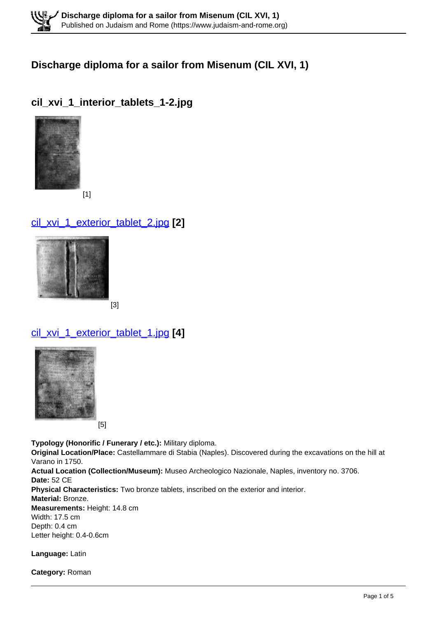### **Discharge diploma for a sailor from Misenum (CIL XVI, 1)**

## **cil\_xvi\_1\_interior\_tablets\_1-2.jpg**



[1]

# cil\_xvi\_1\_exterior\_tablet\_2.jpg **[2]**



[3]

# cil\_xvi\_1\_exterior\_tablet\_1.jpg **[4]**



[5]

**Typology (Honorific / Funerary / etc.):** Military diploma. **Original Location/Place:** Castellammare di Stabia (Naples). Discovered during the excavations on the hill at Varano in 1750. **Actual Location (Collection/Museum):** Museo Archeologico Nazionale, Naples, inventory no. 3706. **Date:** 52 CE **Physical Characteristics:** Two bronze tablets, inscribed on the exterior and interior. **Material:** Bronze. **Measurements:** Height: 14.8 cm Width: 17.5 cm Depth: 0.4 cm Letter height: 0.4-0.6cm

**Language:** Latin

**Category:** Roman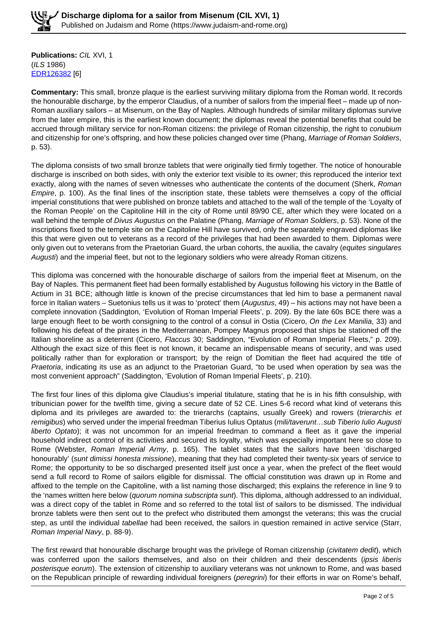**Publications:** CIL XVI, 1 (ILS 1986) EDR126382 [6]

**Commentary:** This small, bronze plaque is the earliest surviving military diploma from the Roman world. It records the honourable discharge, by the emperor Claudius, of a number of sailors from the imperial fleet – made up of non-Roman auxiliary sailors – at Misenum, on the Bay of Naples. Although hundreds of similar military diplomas survive from the later empire, this is the earliest known document; the diplomas reveal the potential benefits that could be accrued through military service for non-Roman citizens: the privilege of Roman citizenship, the right to conubium and citizenship for one's offspring, and how these policies changed over time (Phang, Marriage of Roman Soldiers, p. 53).

The diploma consists of two small bronze tablets that were originally tied firmly together. The notice of honourable discharge is inscribed on both sides, with only the exterior text visible to its owner; this reproduced the interior text exactly, along with the names of seven witnesses who authenticate the contents of the document (Sherk, Roman Empire, p. 100). As the final lines of the inscription state, these tablets were themselves a copy of the official imperial constitutions that were published on bronze tablets and attached to the wall of the temple of the 'Loyalty of the Roman People' on the Capitoline Hill in the city of Rome until 89/90 CE, after which they were located on a wall behind the temple of Divus Augustus on the Palatine (Phang, Marriage of Roman Soldiers, p. 53). None of the inscriptions fixed to the temple site on the Capitoline Hill have survived, only the separately engraved diplomas like this that were given out to veterans as a record of the privileges that had been awarded to them. Diplomas were only given out to veterans from the Praetorian Guard, the urban cohorts, the auxilia, the cavalry (equites singulares Augusti) and the imperial fleet, but not to the legionary soldiers who were already Roman citizens.

This diploma was concerned with the honourable discharge of sailors from the imperial fleet at Misenum, on the Bay of Naples. This permanent fleet had been formally established by Augustus following his victory in the Battle of Actium in 31 BCE; although little is known of the precise circumstances that led him to base a permanent naval force in Italian waters – Suetonius tells us it was to 'protect' them (Augustus, 49) – his actions may not have been a complete innovation (Saddington, 'Evolution of Roman Imperial Fleets', p. 209). By the late 60s BCE there was a large enough fleet to be worth consigning to the control of a consul in Ostia (Cicero, On the Lex Manilia, 33) and following his defeat of the pirates in the Mediterranean, Pompey Magnus proposed that ships be stationed off the Italian shoreline as a deterrent (Cicero, Flaccus 30; Saddington, "Evolution of Roman Imperial Fleets," p. 209). Although the exact size of this fleet is not known, it became an indispensable means of security, and was used politically rather than for exploration or transport; by the reign of Domitian the fleet had acquired the title of Praetoria, indicating its use as an adjunct to the Praetorian Guard, "to be used when operation by sea was the most convenient approach" (Saddington, 'Evolution of Roman Imperial Fleets', p. 210).

The first four lines of this diploma give Claudius's imperial titulature, stating that he is in his fifth consulship, with tribunician power for the twelfth time, giving a secure date of 52 CE. Lines 5-6 record what kind of veterans this diploma and its privileges are awarded to: the trierarchs (captains, usually Greek) and rowers (trierarchis et remigibus) who served under the imperial freedman Tiberius Iulius Optatus (mili/taverunt...sub Tiberio Iulio Augusti liberto Optato); it was not uncommon for an imperial freedman to command a fleet as it gave the imperial household indirect control of its activities and secured its loyalty, which was especially important here so close to Rome (Webster, Roman Imperial Army, p. 165). The tablet states that the sailors have been 'discharged honourably' (sunt dimissi honesta missione), meaning that they had completed their twenty-six years of service to Rome; the opportunity to be so discharged presented itself just once a year, when the prefect of the fleet would send a full record to Rome of sailors eligible for dismissal. The official constitution was drawn up in Rome and affixed to the temple on the Capitoline, with a list naming those discharged; this explains the reference in line 9 to the 'names written here below (*quorum nomina subscripta sunt*). This diploma, although addressed to an individual, was a direct copy of the tablet in Rome and so referred to the total list of sailors to be dismissed. The individual bronze tablets were then sent out to the prefect who distributed them amongst the veterans; this was the crucial step, as until the individual tabellae had been received, the sailors in question remained in active service (Starr, Roman Imperial Navy, p. 88-9).

The first reward that honourable discharge brought was the privilege of Roman citizenship (civitatem dedit), which was conferred upon the sailors themselves, and also on their children and their descendents (ipsis liberis posterisque eorum). The extension of citizenship to auxiliary veterans was not unknown to Rome, and was based on the Republican principle of rewarding individual foreigners (peregrini) for their efforts in war on Rome's behalf,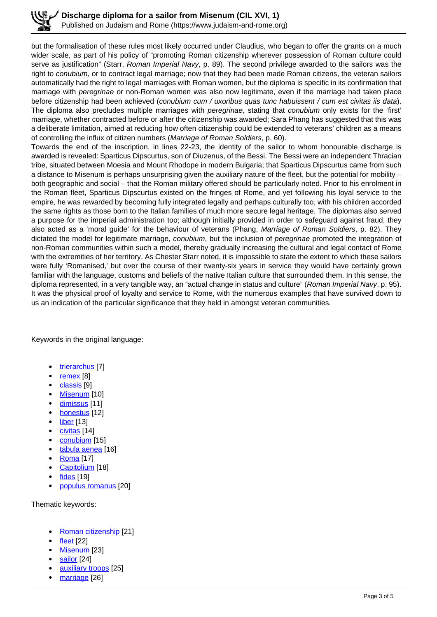but the formalisation of these rules most likely occurred under Claudius, who began to offer the grants on a much wider scale, as part of his policy of "promoting Roman citizenship wherever possession of Roman culture could serve as justification" (Starr, Roman Imperial Navy, p. 89). The second privilege awarded to the sailors was the right to conubium, or to contract legal marriage; now that they had been made Roman citizens, the veteran sailors automatically had the right to legal marriages with Roman women, but the diploma is specific in its confirmation that marriage with peregrinae or non-Roman women was also now legitimate, even if the marriage had taken place before citizenship had been achieved (conubium cum / uxoribus quas tunc habuissent / cum est civitas iis data). The diploma also precludes multiple marriages with *peregrinae*, stating that *conubium* only exists for the 'first' marriage, whether contracted before or after the citizenship was awarded; Sara Phang has suggested that this was a deliberate limitation, aimed at reducing how often citizenship could be extended to veterans' children as a means of controlling the influx of citizen numbers (Marriage of Roman Soldiers, p. 60).

Towards the end of the inscription, in lines 22-23, the identity of the sailor to whom honourable discharge is awarded is revealed: Sparticus Dipscurtus, son of Diuzenus, of the Bessi. The Bessi were an independent Thracian tribe, situated between Moesia and Mount Rhodope in modern Bulgaria; that Sparticus Dipscurtus came from such a distance to Misenum is perhaps unsurprising given the auxiliary nature of the fleet, but the potential for mobility – both geographic and social – that the Roman military offered should be particularly noted. Prior to his enrolment in the Roman fleet, Sparticus Dipscurtus existed on the fringes of Rome, and yet following his loyal service to the empire, he was rewarded by becoming fully integrated legally and perhaps culturally too, with his children accorded the same rights as those born to the Italian families of much more secure legal heritage. The diplomas also served a purpose for the imperial administration too; although initially provided in order to safeguard against fraud, they also acted as a 'moral guide' for the behaviour of veterans (Phang, Marriage of Roman Soldiers, p. 82). They dictated the model for legitimate marriage, *conubium*, but the inclusion of *peregrinae* promoted the integration of non-Roman communities within such a model, thereby gradually increasing the cultural and legal contact of Rome with the extremities of her territory. As Chester Starr noted, it is impossible to state the extent to which these sailors were fully 'Romanised,' but over the course of their twenty-six years in service they would have certainly grown familiar with the language, customs and beliefs of the native Italian culture that surrounded them. In this sense, the diploma represented, in a very tangible way, an "actual change in status and culture" (Roman Imperial Navy, p. 95). It was the physical proof of loyalty and service to Rome, with the numerous examples that have survived down to us an indication of the particular significance that they held in amongst veteran communities.

Keywords in the original language:

- trierarchus [7]
- remex [8]
- classis [9]
- Misenum [10]
- dimissus [11]
- honestus [12]
- liber [13]
- civitas [14]
- conubium [15]
- tabula aenea [16]
- Roma [17]
- Capitolium [18]
- fides [19]
- populus romanus [20]

Thematic keywords:

- Roman citizenship [21]
- fleet [22]
- Misenum [23]
- sailor [24]
- auxiliary troops [25]
- marriage [26]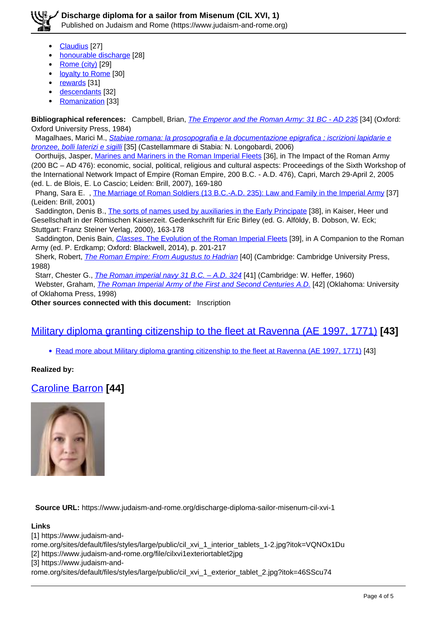

- Claudius [27]
- honourable discharge [28]
- Rome (city) [29]
- loyalty to Rome [30]
- rewards [31]
- descendants [32]
- Romanization [33]

**Bibliographical references:** Campbell, Brian, The Emperor and the Roman Army: 31 BC - AD 235 [34] (Oxford: Oxford University Press, 1984)

 Magalhaes, Marici M., Stabiae romana: la prosopografia e la documentazione epigrafica ; iscrizioni lapidarie e bronzee, bolli laterizi e sigilli [35] (Castellammare di Stabia: N. Longobardi, 2006)

 Oorthuijs, Jasper, Marines and Mariners in the Roman Imperial Fleets [36], in The Impact of the Roman Army (200 BC – AD 476): economic, social, political, religious and cultural aspects: Proceedings of the Sixth Workshop of the International Network Impact of Empire (Roman Empire, 200 B.C. - A.D. 476), Capri, March 29-April 2, 2005 (ed. L. de Blois, E. Lo Cascio; Leiden: Brill, 2007), 169-180

Phang, Sara E., The Marriage of Roman Soldiers (13 B.C.-A.D. 235): Law and Family in the Imperial Army [37] (Leiden: Brill, 2001)

Saddington, Denis B., The sorts of names used by auxiliaries in the Early Principate [38], in Kaiser, Heer und Gesellschaft in der Römischen Kaiserzeit. Gedenkschrift für Eric Birley (ed. G. Alföldy, B. Dobson, W. Eck; Stuttgart: Franz Steiner Verlag, 2000), 163-178

Saddington, Denis Bain, Classes. The Evolution of the Roman Imperial Fleets [39], in A Companion to the Roman Army (ed. P. Erdkamp; Oxford: Blackwell, 2014), p. 201-217

Sherk, Robert, *The Roman Empire: From Augustus to Hadrian* [40] (Cambridge: Cambridge University Press, 1988)

Starr, Chester G., *The Roman imperial navy 31 B.C. - A.D. 324* [41] (Cambridge: W. Heffer, 1960)

Webster, Graham, *The Roman Imperial Army of the First and Second Centuries A.D.* [42] (Oklahoma: University of Oklahoma Press, 1998)

**Other sources connected with this document:** Inscription

### Military diploma granting citizenship to the fleet at Ravenna (AE 1997, 1771) **[43]**

• Read more about Military diploma granting citizenship to the fleet at Ravenna (AE 1997, 1771) [43]

#### **Realized by:**

Caroline Barron **[44]**



**Source URL:** https://www.judaism-and-rome.org/discharge-diploma-sailor-misenum-cil-xvi-1

#### **Links**

[1] https://www.judaism-and-

rome.org/sites/default/files/styles/large/public/cil\_xvi\_1\_interior\_tablets\_1-2.jpg?itok=VQNOx1Du

[2] https://www.judaism-and-rome.org/file/cilxvi1exteriortablet2jpg

[3] https://www.judaism-and-

rome.org/sites/default/files/styles/large/public/cil\_xvi\_1\_exterior\_tablet\_2.jpg?itok=46SScu74